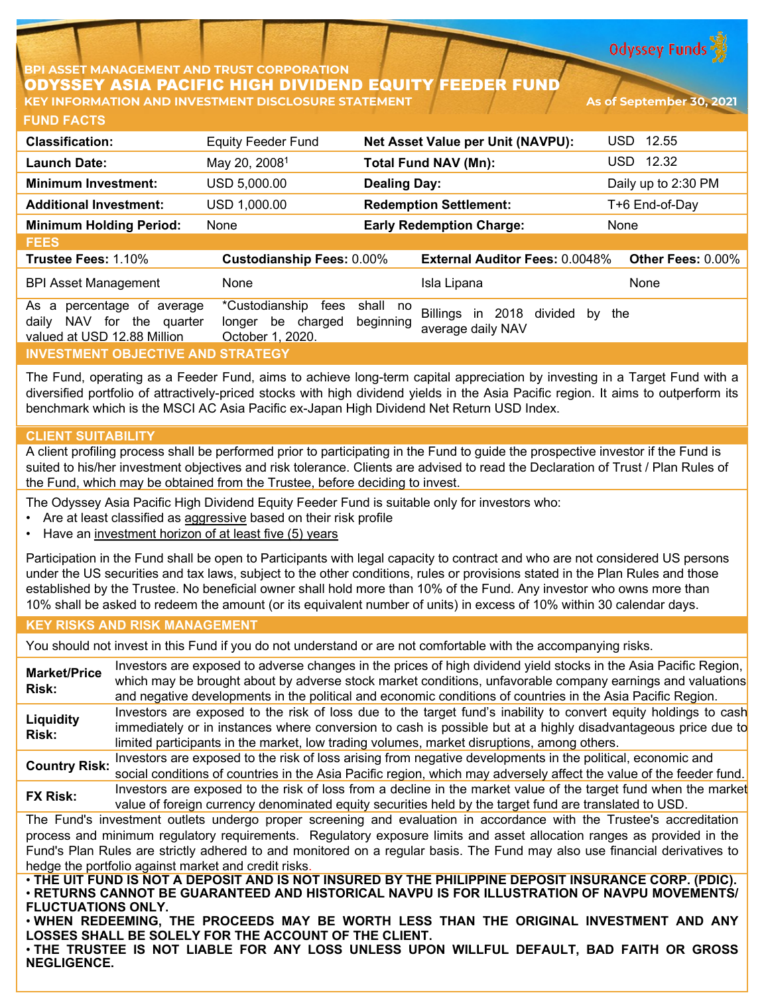**Odyssey Funds** 

## **BPI ASSET MANAGEMENT AND TRUST CORPORATION** ODYSSEY ASIA PACIFIC HIGH DIVIDEND EQUITY FEEDER FUND **KEY INFORMATION AND INVESTMENT DISCLOSURE STATEMENT As of September 30, 2021**

| <b>Classification:</b>                                                                                       | <b>Equity Feeder Fund</b>                                             | <b>Net Asset Value per Unit (NAVPU):</b> |                                                           | 12.55<br>USD.       |
|--------------------------------------------------------------------------------------------------------------|-----------------------------------------------------------------------|------------------------------------------|-----------------------------------------------------------|---------------------|
| <b>Launch Date:</b>                                                                                          | May 20, 2008 <sup>1</sup>                                             | <b>Total Fund NAV (Mn):</b>              |                                                           | 12.32<br>USD.       |
| <b>Minimum Investment:</b>                                                                                   | USD 5,000.00                                                          | <b>Dealing Day:</b>                      |                                                           | Daily up to 2:30 PM |
| <b>Additional Investment:</b>                                                                                | USD 1,000.00                                                          |                                          | <b>Redemption Settlement:</b>                             | T+6 End-of-Day      |
| <b>Minimum Holding Period:</b>                                                                               | None                                                                  |                                          | <b>Early Redemption Charge:</b>                           | None                |
| <b>FEES</b>                                                                                                  |                                                                       |                                          |                                                           |                     |
| Trustee Fees: 1.10%                                                                                          | <b>Custodianship Fees: 0.00%</b>                                      |                                          | <b>External Auditor Fees: 0.0048%</b>                     | Other Fees: 0.00%   |
| <b>BPI Asset Management</b>                                                                                  | None                                                                  |                                          | Isla Lipana                                               | None                |
| As a<br>percentage of average<br>for<br><b>NAV</b><br>the<br>daily<br>quarter<br>valued at USD 12.88 Million | *Custodianship<br>fees<br>be<br>charged<br>longer<br>October 1, 2020. | shall no<br>beginning                    | Billings<br>in 2018<br>divided<br>by<br>average daily NAV | the                 |
| <b>INVESTMENT OBJECTIVE AND STRATEGY</b>                                                                     |                                                                       |                                          |                                                           |                     |

The Fund, operating as a Feeder Fund, aims to achieve long-term capital appreciation by investing in a Target Fund with a diversified portfolio of attractively-priced stocks with high dividend yields in the Asia Pacific region. It aims to outperform its benchmark which is the MSCI AC Asia Pacific ex-Japan High Dividend Net Return USD Index.

## **CLIENT SUITABILITY**

**FUND FACTS**

A client profiling process shall be performed prior to participating in the Fund to guide the prospective investor if the Fund is suited to his/her investment objectives and risk tolerance. Clients are advised to read the Declaration of Trust / Plan Rules of the Fund, which may be obtained from the Trustee, before deciding to invest.

The Odyssey Asia Pacific High Dividend Equity Feeder Fund is suitable only for investors who:

- Are at least classified as aggressive based on their risk profile
- Have an investment horizon of at least five (5) years

Participation in the Fund shall be open to Participants with legal capacity to contract and who are not considered US persons under the US securities and tax laws, subject to the other conditions, rules or provisions stated in the Plan Rules and those established by the Trustee. No beneficial owner shall hold more than 10% of the Fund. Any investor who owns more than 10% shall be asked to redeem the amount (or its equivalent number of units) in excess of 10% within 30 calendar days.

## **KEY RISKS AND RISK MANAGEMENT**

You should not invest in this Fund if you do not understand or are not comfortable with the accompanying risks.

**Market/Price Risk:** Investors are exposed to adverse changes in the prices of high dividend yield stocks in the Asia Pacific Region, which may be brought about by adverse stock market conditions, unfavorable company earnings and valuations and negative developments in the political and economic conditions of countries in the Asia Pacific Region. **Liquidity Risk:** Investors are exposed to the risk of loss due to the target fund's inability to convert equity holdings to cash immediately or in instances where conversion to cash is possible but at a highly disadvantageous price due to limited participants in the market, low trading volumes, market disruptions, among others. **Country Risk:** Investors are exposed to the risk of loss arising from negative developments in the political, economic and social conditions of countries in the Asia Pacific region, which may adversely affect the value of the feeder fund. **FX Risk:** Investors are exposed to the risk of loss from a decline in the market value of the target fund when the market value of foreign currency denominated equity securities held by the target fund are translated to USD. The Fund's investment outlets undergo proper screening and evaluation in accordance with the Trustee's accreditation process and minimum regulatory requirements. Regulatory exposure limits and asset allocation ranges as provided in the Fund's Plan Rules are strictly adhered to and monitored on a regular basis. The Fund may also use financial derivatives to hedge the portfolio against market and credit risks. . THE UIT FUND IS NOT A DEPOSIT AND IS NOT INSURED BY THE PHILIPPINE DEPOSIT INSURANCE CORP. (PDIC). • **RETURNS CANNOT BE GUARANTEED AND HISTORICAL NAVPU IS FOR ILLUSTRATION OF NAVPU MOVEMENTS/ FLUCTUATIONS ONLY.**

• **WHEN REDEEMING, THE PROCEEDS MAY BE WORTH LESS THAN THE ORIGINAL INVESTMENT AND ANY LOSSES SHALL BE SOLELY FOR THE ACCOUNT OF THE CLIENT.**

• **THE TRUSTEE IS NOT LIABLE FOR ANY LOSS UNLESS UPON WILLFUL DEFAULT, BAD FAITH OR GROSS NEGLIGENCE.**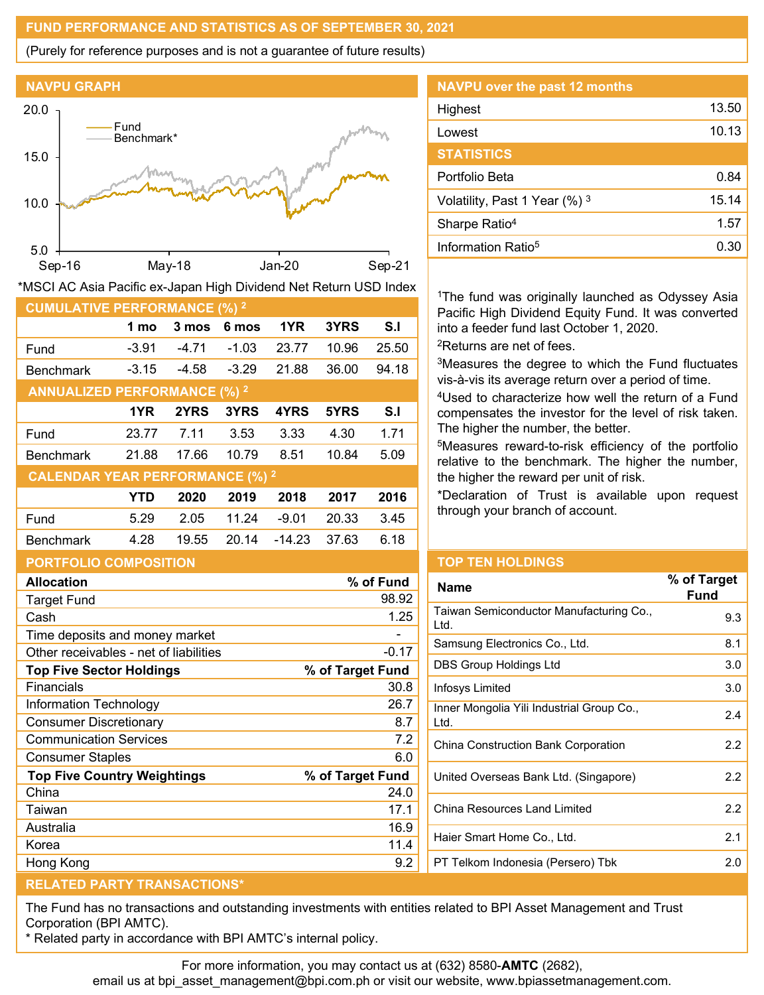## **FUND PERFORMANCE AND STATISTICS AS OF SEPTEMBER 30, 2021**

(Purely for reference purposes and is not a guarantee of future results)



| *MSCI AC Asia Pacific ex-Japan High Dividend Net Return USD Index |            |         |         |          |       |       |  |
|-------------------------------------------------------------------|------------|---------|---------|----------|-------|-------|--|
| <b>CUMULATIVE PERFORMANCE (%) 2</b>                               |            |         |         |          |       |       |  |
|                                                                   | 1 mo       | 3 mos   | 6 mos   | 1YR      | 3YRS  | S.I   |  |
| Fund                                                              | $-3.91$    | -4.71   | $-1.03$ | 23.77    | 10.96 | 25.50 |  |
| <b>Benchmark</b>                                                  | $-3.15$    | $-4.58$ | $-3.29$ | 21.88    | 36.00 | 94.18 |  |
| <b>ANNUALIZED PERFORMANCE (%) 2</b>                               |            |         |         |          |       |       |  |
|                                                                   | 1YR        | 2YRS    | 3YRS    | 4YRS     | 5YRS  | S.I   |  |
| Fund                                                              | 23.77      | 7.11    | 3.53    | 3.33     | 4.30  | 1.71  |  |
| <b>Benchmark</b>                                                  | 21.88      | 17.66   | 10.79   | 8.51     | 10.84 | 5.09  |  |
| <b>CALENDAR YEAR PERFORMANCE (%) 2</b>                            |            |         |         |          |       |       |  |
|                                                                   | <b>YTD</b> | 2020    | 2019    | 2018     | 2017  | 2016  |  |
| Fund                                                              | 5.29       | 2.05    | 11.24   | $-9.01$  | 20.33 | 3.45  |  |
| <b>Benchmark</b>                                                  | 4.28       | 19.55   | 20.14   | $-14.23$ | 37.63 | 6.18  |  |

|                                                     | 1YR   | 2YRS  | 3YRS  | 4YRS        | 5YRS                     | S.I     | compensates the                                  |
|-----------------------------------------------------|-------|-------|-------|-------------|--------------------------|---------|--------------------------------------------------|
| Fund                                                | 23.77 | 7.11  | 3.53  | 3.33        | 4.30                     | 1.71    | The higher the nu                                |
| <b>Benchmark</b>                                    | 21.88 | 17.66 | 10.79 | 8.51        | 10.84                    | 5.09    | <sup>5</sup> Measures rewa<br>relative to the be |
| <b>CALENDAR YEAR PERFORMANCE (%) 2</b>              |       |       |       |             |                          |         | the higher the rev                               |
|                                                     | YTD   | 2020  | 2019  | 2018        | 2017                     | 2016    | *Declaration of                                  |
| Fund                                                | 5.29  | 2.05  | 11.24 | $-9.01$     | 20.33                    | 3.45    | through your brar                                |
| <b>Benchmark</b>                                    | 4.28  | 19.55 | 20.14 | -14.23      | 37.63                    | 6.18    |                                                  |
| <b>PORTFOLIO COMPOSITION</b>                        |       |       |       |             |                          |         | <b>TOP TEN HOLD</b>                              |
| % of Fund<br><b>Allocation</b>                      |       |       |       | <b>Name</b> |                          |         |                                                  |
| <b>Target Fund</b>                                  |       |       |       |             |                          | 98.92   |                                                  |
| Cash                                                |       |       |       |             |                          | 1.25    | Taiwan Semicondu<br>Ltd.                         |
| Time deposits and money market                      |       |       |       |             |                          |         |                                                  |
| Other receivables - net of liabilities              |       |       |       |             |                          | $-0.17$ | Samsung Electronio                               |
| % of Target Fund<br><b>Top Five Sector Holdings</b> |       |       |       |             | <b>DBS Group Holding</b> |         |                                                  |
| Financials                                          |       |       |       |             |                          | 30.8    | Infosys Limited                                  |
| Information Technology                              |       |       |       |             |                          | 26.7    | Inner Mongolia Yili                              |
| <b>Consumer Discretionary</b>                       |       |       |       |             |                          | 8.7     | Ltd.                                             |

| <b>NAVPU</b> over the past 12 months |       |
|--------------------------------------|-------|
| Highest                              | 13.50 |
| Lowest                               | 10.13 |
| <b>STATISTICS</b>                    |       |
| Portfolio Beta                       | 0.84  |
| Volatility, Past 1 Year (%) 3        | 15.14 |
| Sharpe Ratio <sup>4</sup>            | 1.57  |
| Information Ratio <sup>5</sup>       | 0.30  |
|                                      |       |

<sup>1</sup>The fund was originally launched as Odyssey Asia Pacific High Dividend Equity Fund. It was converted into a feeder fund last October 1, 2020.

2Returns are net of fees.

3Measures the degree to which the Fund fluctuates vis-à-vis its average return over a period of time.

4Used to characterize how well the return of a Fund e investor for the level of risk taken. umber, the better.

rd-to-risk efficiency of the portfolio enchmark. The higher the number, ward per unit of risk.

Trust is available upon request nch of account.

## **INGS**

| <b>Name</b>                                       | % of Target<br><b>Fund</b> |
|---------------------------------------------------|----------------------------|
| Taiwan Semiconductor Manufacturing Co.,<br>Ltd.   | 9.3                        |
| Samsung Electronics Co., Ltd.                     | 8.1                        |
| DBS Group Holdings Ltd                            | 3.0                        |
| Infosys Limited                                   | 3.0                        |
| Inner Mongolia Yili Industrial Group Co.,<br>Ltd. | 2.4                        |
| China Construction Bank Corporation               | 2.2                        |
| United Overseas Bank Ltd. (Singapore)             | 2.2                        |
| China Resources Land Limited                      | 2.2                        |
| Haier Smart Home Co., Ltd.                        | 2.1                        |
| PT Telkom Indonesia (Persero) Tbk                 | 2.0                        |
|                                                   |                            |

# **RELATED PARTY TRANSACTIONS\***

The Fund has no transactions and outstanding investments with entities related to BPI Asset Management and Trust Corporation (BPI AMTC).

\* Related party in accordance with BPI AMTC's internal policy.

Communication Services 7.2 Consumer Staples 6.0 **Top Five Country Weightings % of Target Fund** China 24.0 Taiwan 17.1 Australia 16.9 Korea 11.4 Hong Kong **1988** Services and the services of the series of the series of the series of the series of the series of the series of the series of the series of the series of the series of the series of the series of the seri

For more information, you may contact us at (632) 8580-**AMTC** (2682),

email us at bpi\_asset\_management@bpi.com.ph or visit our website, www.bpiassetmanagement.com.